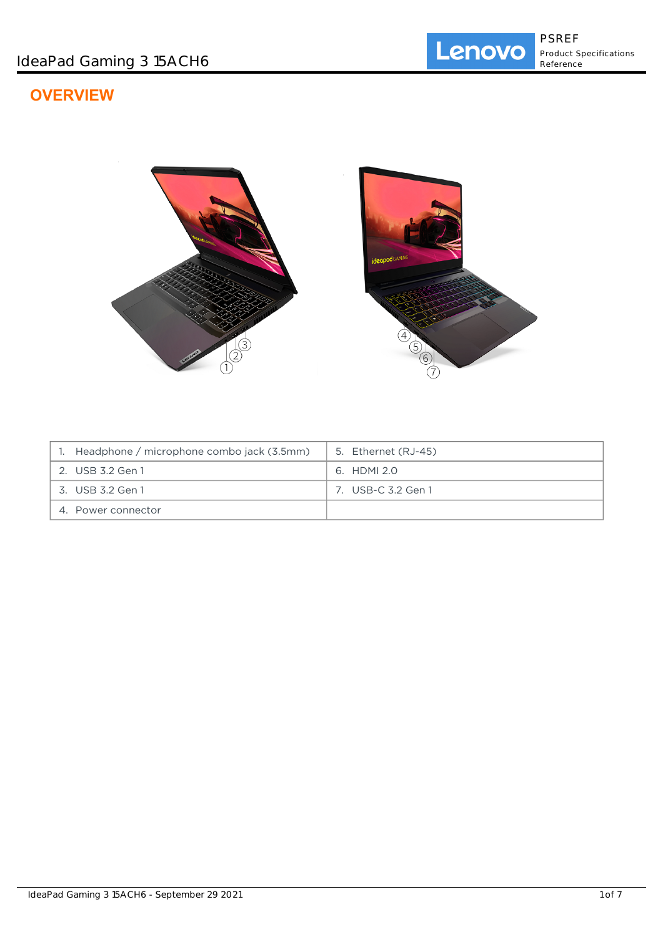# **OVERVIEW**



| Headphone / microphone combo jack (3.5mm) | 5. Ethernet (RJ-45) |
|-------------------------------------------|---------------------|
| 2. USB 3.2 Gen 1                          | 6. HDMI 2.0         |
| 3. USB 3.2 Gen 1                          | 7. USB-C 3.2 Gen 1  |
| 4. Power connector                        |                     |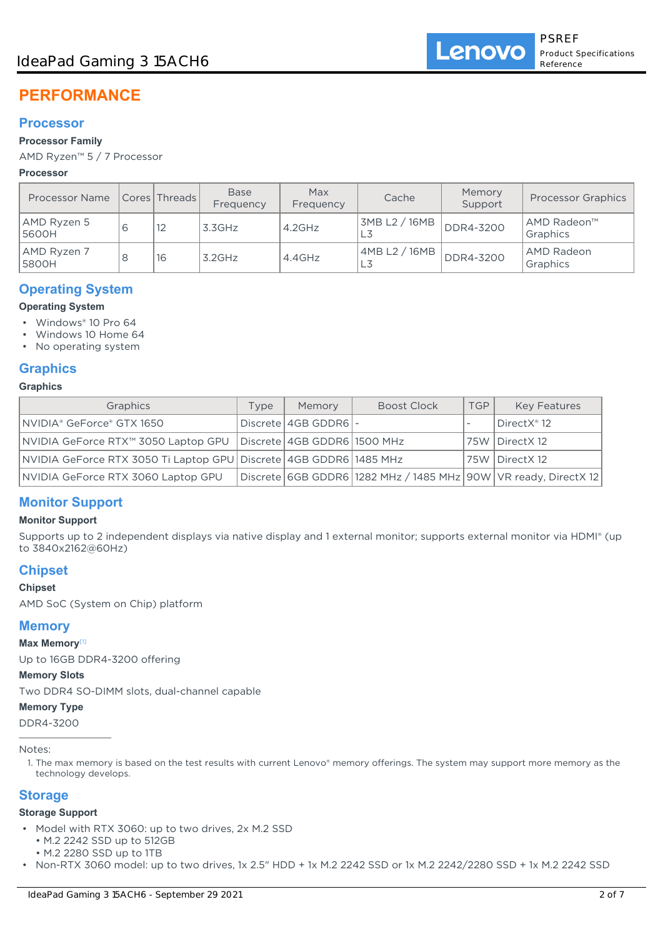# **PERFORMANCE**

# **Processor**

### **Processor Family**

AMD Ryzen™ 5 / 7 Processor

### **Processor**

| <b>Processor Name</b> |   | Cores   Threads | <b>Base</b><br>Frequency | Max<br>Frequency | Cache                 | Memory<br>Support | <b>Processor Graphics</b> |
|-----------------------|---|-----------------|--------------------------|------------------|-----------------------|-------------------|---------------------------|
| AMD Ryzen 5<br>5600H  | 6 | 12              | 3.3GHz                   | $4.2$ GHz        | 3MB L2 / 16MB         | DDR4-3200         | AMD Radeon™<br>Graphics   |
| AMD Ryzen 7<br>5800H  |   | 16              | $3.2$ GHz                | $4.4$ GHz        | 4MB L2 / 16MB  <br>LЗ | DDR4-3200         | AMD Radeon<br>Graphics    |

# **Operating System**

**Operating System**

- Windows® 10 Pro 64
- Windows 10 Home 64
- No operating system

# **Graphics**

# **Graphics**

| Graphics                                                          | Type | Memory                      | <b>Boost Clock</b>                                                      | <b>TGP</b> | <b>Key Features</b> |
|-------------------------------------------------------------------|------|-----------------------------|-------------------------------------------------------------------------|------------|---------------------|
| NVIDIA® GeForce® GTX 1650                                         |      | Discrete   4GB GDDR6   -    |                                                                         |            | ∣DirectX® 12        |
| NVIDIA GeForce RTX™ 3050 Laptop GPU                               |      | Discrete 4GB GDDR6 1500 MHz |                                                                         |            | 75W   DirectX 12    |
| NVIDIA GeForce RTX 3050 Ti Laptop GPU Discrete 4GB GDDR6 1485 MHz |      |                             |                                                                         |            | 75W   DirectX 12    |
| NVIDIA GeForce RTX 3060 Laptop GPU                                |      |                             | Discrete   6GB GDDR6   1282 MHz / 1485 MHz   90W   VR ready, DirectX 12 |            |                     |

# **Monitor Support**

### **Monitor Support**

Supports up to 2 independent displays via native display and 1 external monitor; supports external monitor via HDMI® (up to 3840x2162@60Hz)

# **Chipset**

### **Chipset**

AMD SoC (System on Chip) platform

# **Memory**

**Max Memory**[1]

Up to 16GB DDR4-3200 offering

### **Memory Slots**

Two DDR4 SO-DIMM slots, dual-channel capable

### **Memory Type**

DDR4-3200

### Notes:

1. The max memory is based on the test results with current Lenovo® memory offerings. The system may support more memory as the technology develops.

# **Storage**

### **Storage Support**

- Model with RTX 3060: up to two drives, 2x M.2 SSD
	- M.2 2242 SSD up to 512GB
	- M.2 2280 SSD up to 1TB
- Non-RTX 3060 model: up to two drives, 1x 2.5" HDD + 1x M.2 2242 SSD or 1x M.2 2242/2280 SSD + 1x M.2 2242 SSD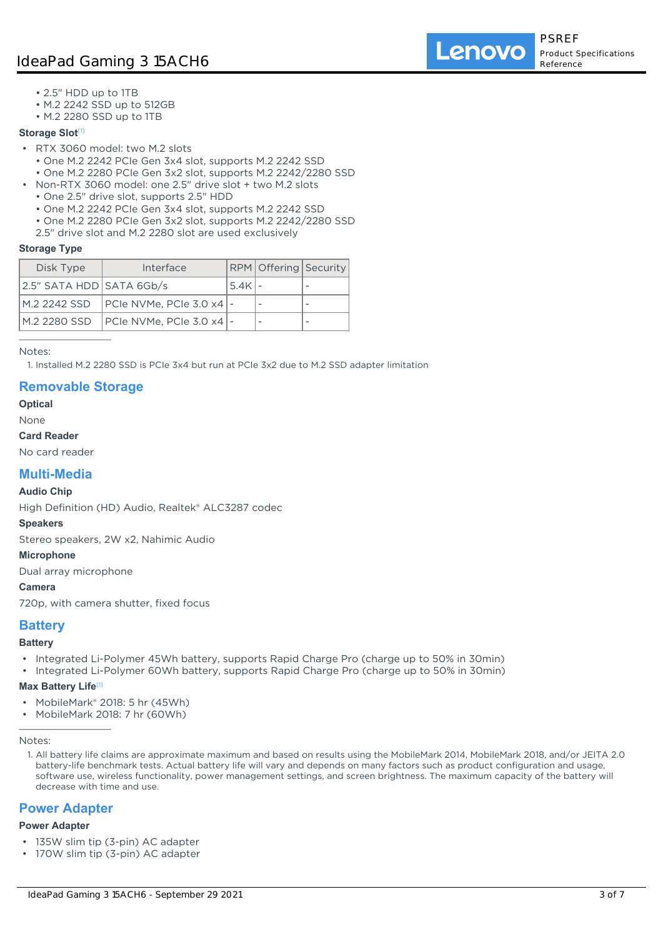Lenovo

- 2.5" HDD up to 1TB
- M.2 2242 SSD up to 512GB
- M.2 2280 SSD up to 1TB

### **Storage Slot<sup>[1]</sup>**

- RTX 3060 model: two M.2 slots
	- One M.2 2242 PCIe Gen 3x4 slot, supports M.2 2242 SSD
	- One M.2 2280 PCIe Gen 3x2 slot, supports M.2 2242/2280 SSD
- Non-RTX 3060 model: one 2.5" drive slot + two M.2 slots
	- One 2.5" drive slot, supports 2.5" HDD
	- One M.2 2242 PCIe Gen 3x4 slot, supports M.2 2242 SSD
	- One M.2 2280 PCIe Gen 3x2 slot, supports M.2 2242/2280 SSD
	- 2.5" drive slot and M.2 2280 slot are used exclusively

### **Storage Type**

| Disk Type                | Interface                |        | RPM Offering Security |  |
|--------------------------|--------------------------|--------|-----------------------|--|
| 2.5" SATA HDD SATA 6Gb/s |                          | 5.4K - |                       |  |
|                          |                          |        |                       |  |
| M.2 2280 SSD             | PCIe NVMe, PCIe 3.0 x4 - |        |                       |  |

Notes:

1. Installed M.2 2280 SSD is PCIe 3x4 but run at PCIe 3x2 due to M.2 SSD adapter limitation

# **Removable Storage**

**Optical**

#### None **Card Reader**

No card reader

# **Multi-Media**

### **Audio Chip**

High Definition (HD) Audio, Realtek® ALC3287 codec

#### **Speakers**

Stereo speakers, 2W x2, Nahimic Audio

#### **Microphone**

Dual array microphone

### **Camera**

720p, with camera shutter, fixed focus

### **Battery**

#### **Battery**

- Integrated Li-Polymer 45Wh battery, supports Rapid Charge Pro (charge up to 50% in 30min)
- Integrated Li-Polymer 60Wh battery, supports Rapid Charge Pro (charge up to 50% in 30min)

### **Max Battery Life**[1]

- MobileMark® 2018: 5 hr (45Wh)
- MobileMark 2018: 7 hr (60Wh)

Notes:

1. All battery life claims are approximate maximum and based on results using the MobileMark 2014, MobileMark 2018, and/or JEITA 2.0 battery-life benchmark tests. Actual battery life will vary and depends on many factors such as product configuration and usage, software use, wireless functionality, power management settings, and screen brightness. The maximum capacity of the battery will decrease with time and use.

# **Power Adapter**

#### **Power Adapter**

- 135W slim tip (3-pin) AC adapter
- 170W slim tip (3-pin) AC adapter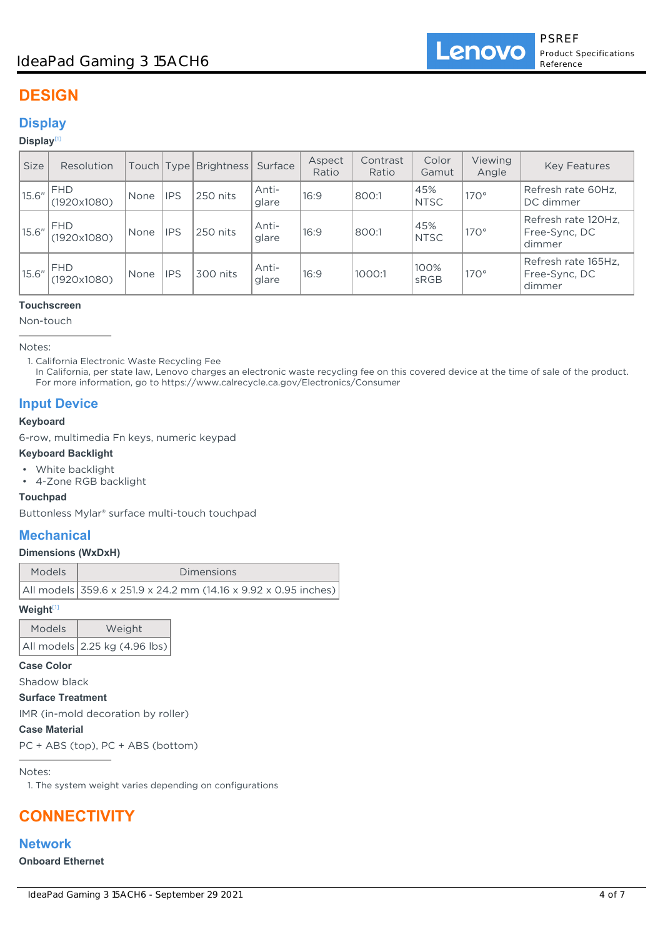# **DESIGN**

# **Display**

### **Display**[1]

| <b>Size</b> | Resolution                | Touch   Type |            | Brightness | Surface        | Aspect<br>Ratio | Contrast<br>Ratio | Color<br>Gamut     | Viewing<br>Angle | <b>Key Features</b>                            |
|-------------|---------------------------|--------------|------------|------------|----------------|-----------------|-------------------|--------------------|------------------|------------------------------------------------|
| 15.6''      | <b>FHD</b><br>(1920x1080) | None         | <b>IPS</b> | 250 nits   | Anti-<br>glare | 16:9            | 800:1             | 45%<br><b>NTSC</b> | $170^\circ$      | Refresh rate 60Hz,<br>DC dimmer                |
| 15.6''      | <b>FHD</b><br>(1920x1080) | None         | <b>IPS</b> | 250 nits   | Anti-<br>glare | 16:9            | 800:1             | 45%<br><b>NTSC</b> | $170^\circ$      | Refresh rate 120Hz,<br>Free-Sync, DC<br>dimmer |
| 15.6''      | <b>FHD</b><br>(1920x1080) | None         | <b>IPS</b> | 300 nits   | Anti-<br>glare | 16:9            | 1000:1            | 100%<br>sRGB       | $170^\circ$      | Refresh rate 165Hz,<br>Free-Sync, DC<br>dimmer |

### **Touchscreen**

Non-touch

Notes:

In California, per state law, Lenovo charges an electronic waste recycling fee on this covered device at the time of sale of the product. For more information, go to https://www.calrecycle.ca.gov/Electronics/Consumer

# **Input Device**

### **Keyboard**

6-row, multimedia Fn keys, numeric keypad

### **Keyboard Backlight**

- White backlight
- 4-Zone RGB backlight

### **Touchpad**

Buttonless Mylar® surface multi-touch touchpad

# **Mechanical**

### **Dimensions (WxDxH)**

| <b>Models</b> | <b>Dimensions</b>                                               |
|---------------|-----------------------------------------------------------------|
|               | All models 359.6 x 251.9 x 24.2 mm (14.16 x 9.92 x 0.95 inches) |

#### **Weight**[1]

| Models | Weight                        |  |  |  |
|--------|-------------------------------|--|--|--|
|        | All models 2.25 kg (4.96 lbs) |  |  |  |

### **Case Color**

Shadow black

# **Surface Treatment**

IMR (in-mold decoration by roller)

### **Case Material**

PC + ABS (top), PC + ABS (bottom)

Notes:

1. The system weight varies depending on configurations

# **CONNECTIVITY**

# **Network**

**Onboard Ethernet**

<sup>1.</sup> California Electronic Waste Recycling Fee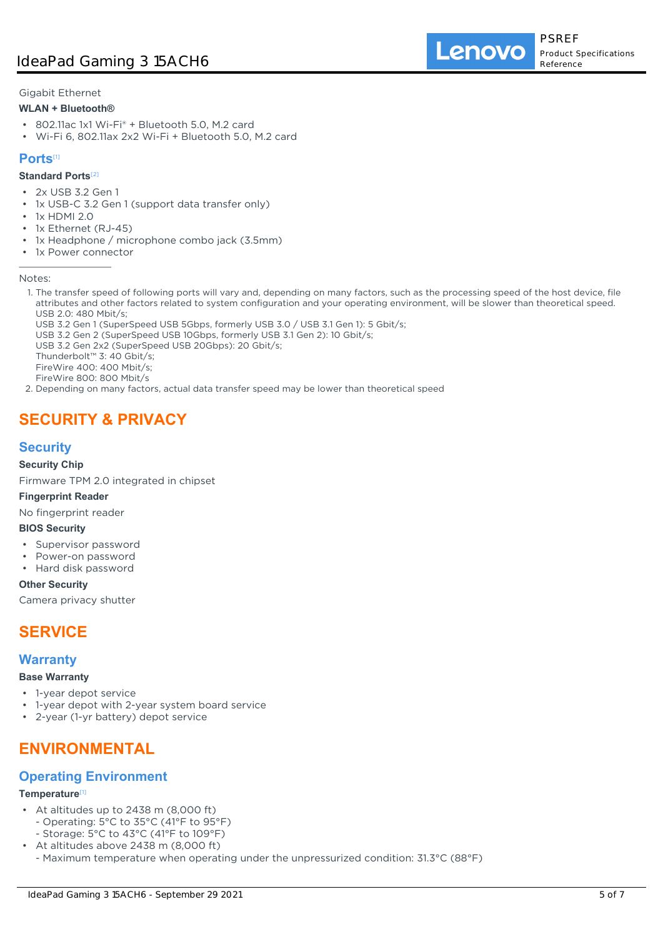Lenovo

Gigabit Ethernet

### **WLAN + Bluetooth®**

- 802.11ac 1x1 Wi-Fi® + Bluetooth 5.0, M.2 card
- Wi-Fi 6, 802.11ax 2x2 Wi-Fi + Bluetooth 5.0, M.2 card

### **Ports**[1]

### **Standard Ports**[2]

- 2x USB 3.2 Gen 1
- 1x USB-C 3.2 Gen 1 (support data transfer only)
- 1x HDMI 2.0
- 1x Ethernet (RJ-45)
- 1x Headphone / microphone combo jack (3.5mm)
- 1x Power connector

#### Notes:

- 1. The transfer speed of following ports will vary and, depending on many factors, such as the processing speed of the host device, file attributes and other factors related to system configuration and your operating environment, will be slower than theoretical speed. USB 2.0: 480 Mbit/s;
	- USB 3.2 Gen 1 (SuperSpeed USB 5Gbps, formerly USB 3.0 / USB 3.1 Gen 1): 5 Gbit/s;
	- USB 3.2 Gen 2 (SuperSpeed USB 10Gbps, formerly USB 3.1 Gen 2): 10 Gbit/s;
- USB 3.2 Gen 2x2 (SuperSpeed USB 20Gbps): 20 Gbit/s;

Thunderbolt™ 3: 40 Gbit/s;

- FireWire 400: 400 Mbit/s;
- FireWire 800: 800 Mbit/s
- 2. Depending on many factors, actual data transfer speed may be lower than theoretical speed

# **SECURITY & PRIVACY**

# **Security**

### **Security Chip**

Firmware TPM 2.0 integrated in chipset

### **Fingerprint Reader**

No fingerprint reader

### **BIOS Security**

- Supervisor password
- Power-on password
- Hard disk password

### **Other Security**

Camera privacy shutter

# **SERVICE**

# **Warranty**

### **Base Warranty**

- 1-year depot service
- 1-year depot with 2-year system board service
- 2-year (1-yr battery) depot service

# **ENVIRONMENTAL**

# **Operating Environment**

#### **Temperature**[1]

- At altitudes up to 2438 m (8,000 ft)
	- Operating: 5°C to 35°C (41°F to 95°F)
- Storage: 5°C to 43°C (41°F to 109°F)
- At altitudes above 2438 m (8,000 ft)
	- Maximum temperature when operating under the unpressurized condition: 31.3°C (88°F)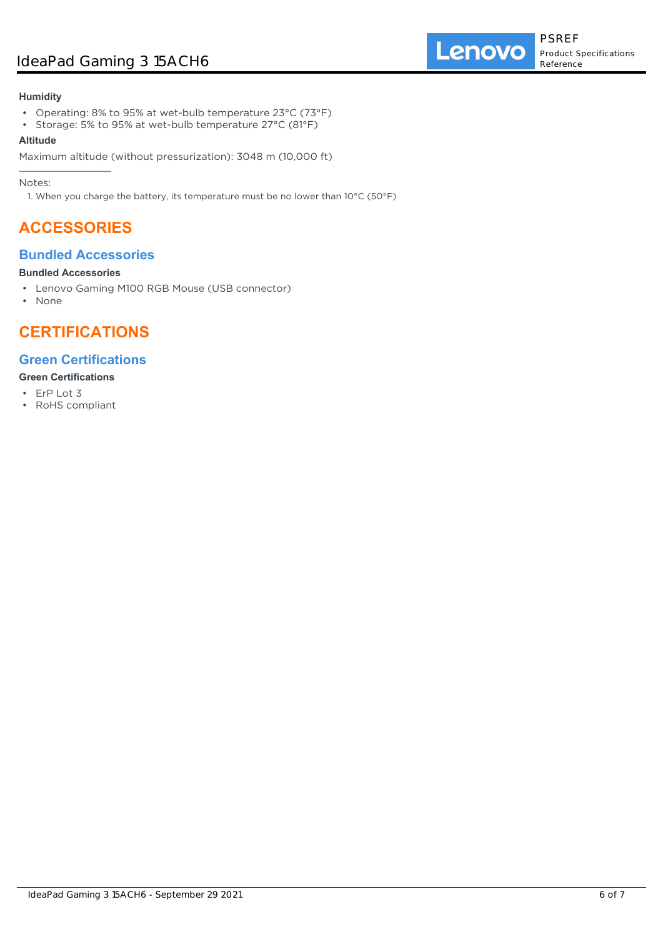# IdeaPad Gaming 3 15ACH6

### **Humidity**

- Operating: 8% to 95% at wet-bulb temperature 23°C (73°F)
- Storage: 5% to 95% at wet-bulb temperature 27°C (81°F)

### **Altitude**

Maximum altitude (without pressurization): 3048 m (10,000 ft)

Notes:

1. When you charge the battery, its temperature must be no lower than 10°C (50°F)

# **ACCESSORIES**

# **Bundled Accessories**

### **Bundled Accessories**

- Lenovo Gaming M100 RGB Mouse (USB connector)
- None

# **CERTIFICATIONS**

# **Green Certifications**

### **Green Certifications**

- ErP Lot 3
- RoHS compliant